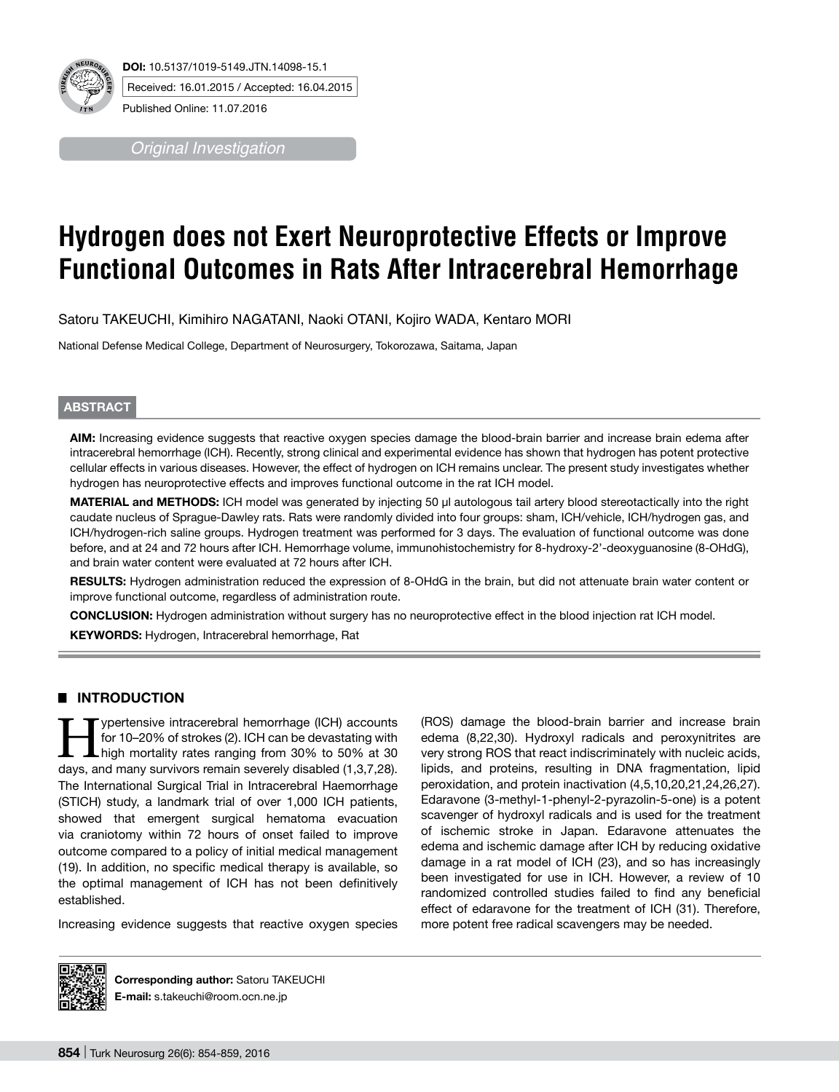

*Original Investigation*

# **Hydrogen does not Exert Neuroprotective Effects or Improve Functional Outcomes in Rats After Intracerebral Hemorrhage**

Satoru TAKEUCHI, Kimihiro NAGATANI, Naoki OTANI, Kojiro WADA, Kentaro MORI

National Defense Medical College, Department of Neurosurgery, Tokorozawa, Saitama, Japan

## **ABSTRACT**

**AIm:** Increasing evidence suggests that reactive oxygen species damage the blood-brain barrier and increase brain edema after intracerebral hemorrhage (ICH). Recently, strong clinical and experimental evidence has shown that hydrogen has potent protective cellular effects in various diseases. However, the effect of hydrogen on ICH remains unclear. The present study investigates whether hydrogen has neuroprotective effects and improves functional outcome in the rat ICH model.

**MaterIal and Methods:** ICH model was generated by injecting 50 μl autologous tail artery blood stereotactically into the right caudate nucleus of Sprague-Dawley rats. Rats were randomly divided into four groups: sham, ICH/vehicle, ICH/hydrogen gas, and ICH/hydrogen-rich saline groups. Hydrogen treatment was performed for 3 days. The evaluation of functional outcome was done before, and at 24 and 72 hours after ICH. Hemorrhage volume, immunohistochemistry for 8-hydroxy-2'-deoxyguanosine (8-OHdG), and brain water content were evaluated at 72 hours after ICH.

RESULTS: Hydrogen administration reduced the expression of 8-OHdG in the brain, but did not attenuate brain water content or improve functional outcome, regardless of administration route.

**ConclusIon:** Hydrogen administration without surgery has no neuroprotective effect in the blood injection rat ICH model.

**Keywords:** Hydrogen, Intracerebral hemorrhage, Rat

## █ **Introduction**

For 10–20% of strokes (2). ICH can be devastating with<br>high mortality rates ranging from 30% to 50% at 30<br>days and many sumivors rangin asystem is control display (1.2.7.28) for 10–20% of strokes (2). ICH can be devastating with days, and many survivors remain severely disabled (1,3,7,28). The International Surgical Trial in Intracerebral Haemorrhage (STICH) study, a landmark trial of over 1,000 ICH patients, showed that emergent surgical hematoma evacuation via craniotomy within 72 hours of onset failed to improve outcome compared to a policy of initial medical management (19). In addition, no specific medical therapy is available, so the optimal management of ICH has not been definitively established.

Increasing evidence suggests that reactive oxygen species

(ROS) damage the blood-brain barrier and increase brain edema (8,22,30). Hydroxyl radicals and peroxynitrites are very strong ROS that react indiscriminately with nucleic acids, lipids, and proteins, resulting in DNA fragmentation, lipid peroxidation, and protein inactivation (4,5,10,20,21,24,26,27). Edaravone (3-methyl-1-phenyl-2-pyrazolin-5-one) is a potent scavenger of hydroxyl radicals and is used for the treatment of ischemic stroke in Japan. Edaravone attenuates the edema and ischemic damage after ICH by reducing oxidative damage in a rat model of ICH (23), and so has increasingly been investigated for use in ICH. However, a review of 10 randomized controlled studies failed to find any beneficial effect of edaravone for the treatment of ICH (31). Therefore, more potent free radical scavengers may be needed.



**Corresponding author: Satoru TAKEUCHI E-mail:** s.takeuchi@room.ocn.ne.jp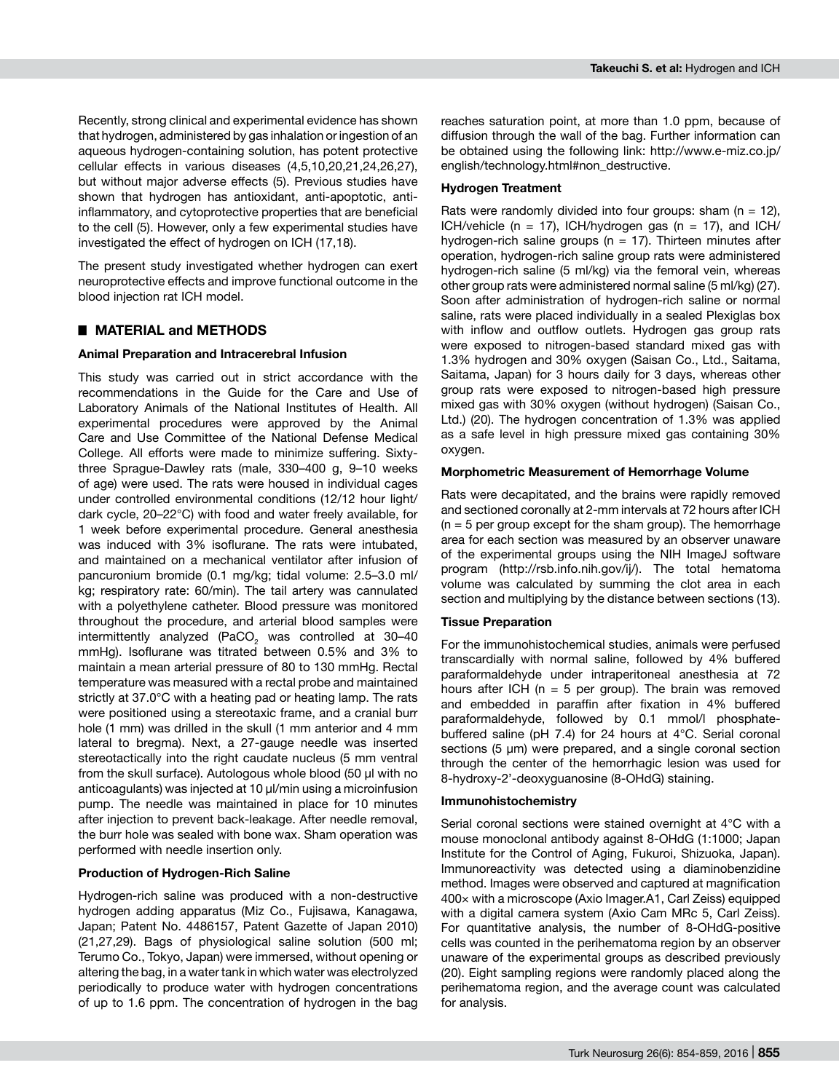Recently, strong clinical and experimental evidence has shown that hydrogen, administered by gas inhalation or ingestion of an aqueous hydrogen-containing solution, has potent protective cellular effects in various diseases (4,5,10,20,21,24,26,27), but without major adverse effects (5). Previous studies have shown that hydrogen has antioxidant, anti-apoptotic, antiinflammatory, and cytoprotective properties that are beneficial to the cell (5). However, only a few experimental studies have investigated the effect of hydrogen on ICH (17,18).

The present study investigated whether hydrogen can exert neuroprotective effects and improve functional outcome in the blood injection rat ICH model.

## █ **Material and Methods**

#### **Animal Preparation and Intracerebral Infusion**

This study was carried out in strict accordance with the recommendations in the Guide for the Care and Use of Laboratory Animals of the National Institutes of Health. All experimental procedures were approved by the Animal Care and Use Committee of the National Defense Medical College. All efforts were made to minimize suffering. Sixtythree Sprague-Dawley rats (male, 330–400 g, 9–10 weeks of age) were used. The rats were housed in individual cages under controlled environmental conditions (12/12 hour light/ dark cycle, 20–22°C) with food and water freely available, for 1 week before experimental procedure. General anesthesia was induced with 3% isoflurane. The rats were intubated, and maintained on a mechanical ventilator after infusion of pancuronium bromide (0.1 mg/kg; tidal volume: 2.5–3.0 ml/ kg; respiratory rate: 60/min). The tail artery was cannulated with a polyethylene catheter. Blood pressure was monitored throughout the procedure, and arterial blood samples were intermittently analyzed (PaCO<sub>2</sub> was controlled at 30–40 mmHg). Isoflurane was titrated between 0.5% and 3% to maintain a mean arterial pressure of 80 to 130 mmHg. Rectal temperature was measured with a rectal probe and maintained strictly at 37.0°C with a heating pad or heating lamp. The rats were positioned using a stereotaxic frame, and a cranial burr hole (1 mm) was drilled in the skull (1 mm anterior and 4 mm lateral to bregma). Next, a 27-gauge needle was inserted stereotactically into the right caudate nucleus (5 mm ventral from the skull surface). Autologous whole blood (50 μl with no anticoagulants) was injected at 10 μl/min using a microinfusion pump. The needle was maintained in place for 10 minutes after injection to prevent back-leakage. After needle removal, the burr hole was sealed with bone wax. Sham operation was performed with needle insertion only.

#### **Production of Hydrogen-Rich Saline**

Hydrogen-rich saline was produced with a non-destructive hydrogen adding apparatus (Miz Co., Fujisawa, Kanagawa, Japan; Patent No. 4486157, Patent Gazette of Japan 2010) (21,27,29). Bags of physiological saline solution (500 ml; Terumo Co., Tokyo, Japan) were immersed, without opening or altering the bag, in a water tank in which water was electrolyzed periodically to produce water with hydrogen concentrations of up to 1.6 ppm. The concentration of hydrogen in the bag reaches saturation point, at more than 1.0 ppm, because of diffusion through the wall of the bag. Further information can be obtained using the following link: http://www.e-miz.co.jp/ english/technology.html#non\_destructive.

#### **Hydrogen Treatment**

Rats were randomly divided into four groups: sham  $(n = 12)$ , ICH/vehicle (n = 17), ICH/hydrogen gas (n = 17), and ICH/ hydrogen-rich saline groups ( $n = 17$ ). Thirteen minutes after operation, hydrogen-rich saline group rats were administered hydrogen-rich saline (5 ml/kg) via the femoral vein, whereas other group rats were administered normal saline (5 ml/kg) (27). Soon after administration of hydrogen-rich saline or normal saline, rats were placed individually in a sealed Plexiglas box with inflow and outflow outlets. Hydrogen gas group rats were exposed to nitrogen-based standard mixed gas with 1.3% hydrogen and 30% oxygen (Saisan Co., Ltd., Saitama, Saitama, Japan) for 3 hours daily for 3 days, whereas other group rats were exposed to nitrogen-based high pressure mixed gas with 30% oxygen (without hydrogen) (Saisan Co., Ltd.) (20). The hydrogen concentration of 1.3% was applied as a safe level in high pressure mixed gas containing 30% oxygen.

#### **Morphometric Measurement of Hemorrhage Volume**

Rats were decapitated, and the brains were rapidly removed and sectioned coronally at 2-mm intervals at 72 hours after ICH  $(n = 5$  per group except for the sham group). The hemorrhage area for each section was measured by an observer unaware of the experimental groups using the NIH ImageJ software program (http://rsb.info.nih.gov/ij/). The total hematoma volume was calculated by summing the clot area in each section and multiplying by the distance between sections (13).

#### **Tissue Preparation**

For the immunohistochemical studies, animals were perfused transcardially with normal saline, followed by 4% buffered paraformaldehyde under intraperitoneal anesthesia at 72 hours after ICH ( $n = 5$  per group). The brain was removed and embedded in paraffin after fixation in 4% buffered paraformaldehyde, followed by 0.1 mmol/l phosphatebuffered saline (pH 7.4) for 24 hours at 4°C. Serial coronal sections (5 μm) were prepared, and a single coronal section through the center of the hemorrhagic lesion was used for 8-hydroxy-2'-deoxyguanosine (8-OHdG) staining.

#### **Immunohistochemistry**

Serial coronal sections were stained overnight at 4°C with a mouse monoclonal antibody against 8-OHdG (1:1000; Japan Institute for the Control of Aging, Fukuroi, Shizuoka, Japan). Immunoreactivity was detected using a diaminobenzidine method. Images were observed and captured at magnification 400× with a microscope (Axio Imager.A1, Carl Zeiss) equipped with a digital camera system (Axio Cam MRc 5, Carl Zeiss). For quantitative analysis, the number of 8-OHdG-positive cells was counted in the perihematoma region by an observer unaware of the experimental groups as described previously (20). Eight sampling regions were randomly placed along the perihematoma region, and the average count was calculated for analysis.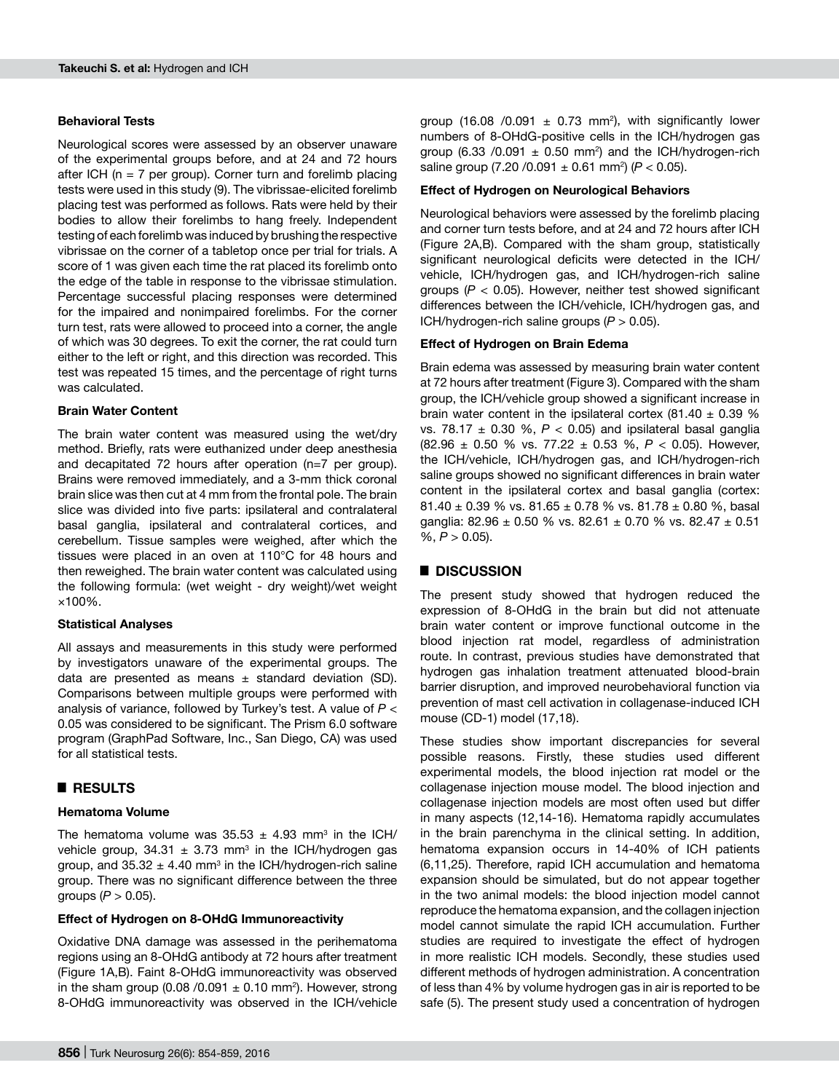#### **Behavioral Tests**

Neurological scores were assessed by an observer unaware of the experimental groups before, and at 24 and 72 hours after ICH ( $n = 7$  per group). Corner turn and forelimb placing tests were used in this study (9). The vibrissae-elicited forelimb placing test was performed as follows. Rats were held by their bodies to allow their forelimbs to hang freely. Independent testing of each forelimb was induced by brushing the respective vibrissae on the corner of a tabletop once per trial for trials. A score of 1 was given each time the rat placed its forelimb onto the edge of the table in response to the vibrissae stimulation. Percentage successful placing responses were determined for the impaired and nonimpaired forelimbs. For the corner turn test, rats were allowed to proceed into a corner, the angle of which was 30 degrees. To exit the corner, the rat could turn either to the left or right, and this direction was recorded. This test was repeated 15 times, and the percentage of right turns was calculated.

#### **Brain Water Content**

The brain water content was measured using the wet/dry method. Briefly, rats were euthanized under deep anesthesia and decapitated 72 hours after operation (n=7 per group). Brains were removed immediately, and a 3-mm thick coronal brain slice was then cut at 4 mm from the frontal pole. The brain slice was divided into five parts: ipsilateral and contralateral basal ganglia, ipsilateral and contralateral cortices, and cerebellum. Tissue samples were weighed, after which the tissues were placed in an oven at 110°C for 48 hours and then reweighed. The brain water content was calculated using the following formula: (wet weight - dry weight)/wet weight ×100%.

## **Statistical Analyses**

All assays and measurements in this study were performed by investigators unaware of the experimental groups. The data are presented as means  $\pm$  standard deviation (SD). Comparisons between multiple groups were performed with analysis of variance, followed by Turkey's test. A value of *P* < 0.05 was considered to be significant. The Prism 6.0 software program (GraphPad Software, Inc., San Diego, CA) was used for all statistical tests.

## █ **Results**

## **Hematoma Volume**

The hematoma volume was  $35.53 \pm 4.93$  mm<sup>3</sup> in the ICH/ vehicle group,  $34.31 \pm 3.73$  mm<sup>3</sup> in the ICH/hydrogen gas group, and  $35.32 \pm 4.40$  mm<sup>3</sup> in the ICH/hydrogen-rich saline group. There was no significant difference between the three groups (*P* > 0.05).

#### **Effect of Hydrogen on 8-OHdG Immunoreactivity**

Oxidative DNA damage was assessed in the perihematoma regions using an 8-OHdG antibody at 72 hours after treatment (Figure 1A,B). Faint 8-OHdG immunoreactivity was observed in the sham group (0.08 /0.091  $\pm$  0.10 mm<sup>2</sup>). However, strong 8-OHdG immunoreactivity was observed in the ICH/vehicle

group (16.08 /0.091  $\pm$  0.73 mm<sup>2</sup>), with significantly lower numbers of 8-OHdG-positive cells in the ICH/hydrogen gas group (6.33 /0.091  $\pm$  0.50 mm<sup>2</sup>) and the ICH/hydrogen-rich saline group (7.20 /0.091 ± 0.61 mm2 ) (*P* < 0.05).

#### **Effect of Hydrogen on Neurological Behaviors**

Neurological behaviors were assessed by the forelimb placing and corner turn tests before, and at 24 and 72 hours after ICH (Figure 2A,B). Compared with the sham group, statistically significant neurological deficits were detected in the ICH/ vehicle, ICH/hydrogen gas, and ICH/hydrogen-rich saline groups (*P* < 0.05). However, neither test showed significant differences between the ICH/vehicle, ICH/hydrogen gas, and ICH/hydrogen-rich saline groups (*P* > 0.05).

#### **Effect of Hydrogen on Brain Edema**

Brain edema was assessed by measuring brain water content at 72 hours after treatment (Figure 3). Compared with the sham group, the ICH/vehicle group showed a significant increase in brain water content in the ipsilateral cortex  $(81.40 \pm 0.39 \%)$ vs. 78.17  $\pm$  0.30 %,  $P < 0.05$ ) and ipsilateral basal ganglia (82.96 ± 0.50 % vs. 77.22 ± 0.53 %, *P* < 0.05). However, the ICH/vehicle, ICH/hydrogen gas, and ICH/hydrogen-rich saline groups showed no significant differences in brain water content in the ipsilateral cortex and basal ganglia (cortex: 81.40  $\pm$  0.39 % vs. 81.65  $\pm$  0.78 % vs. 81.78  $\pm$  0.80 %, basal ganglia:  $82.96 \pm 0.50$  % vs.  $82.61 \pm 0.70$  % vs.  $82.47 \pm 0.51$  $%$ ,  $P > 0.05$ ).

## █ **Discussion**

The present study showed that hydrogen reduced the expression of 8-OHdG in the brain but did not attenuate brain water content or improve functional outcome in the blood injection rat model, regardless of administration route. In contrast, previous studies have demonstrated that hydrogen gas inhalation treatment attenuated blood-brain barrier disruption, and improved neurobehavioral function via prevention of mast cell activation in collagenase-induced ICH mouse (CD-1) model (17,18).

These studies show important discrepancies for several possible reasons. Firstly, these studies used different experimental models, the blood injection rat model or the collagenase injection mouse model. The blood injection and collagenase injection models are most often used but differ in many aspects (12,14-16). Hematoma rapidly accumulates in the brain parenchyma in the clinical setting. In addition, hematoma expansion occurs in 14-40% of ICH patients (6,11,25). Therefore, rapid ICH accumulation and hematoma expansion should be simulated, but do not appear together in the two animal models: the blood injection model cannot reproduce the hematoma expansion, and the collagen injection model cannot simulate the rapid ICH accumulation. Further studies are required to investigate the effect of hydrogen in more realistic ICH models. Secondly, these studies used different methods of hydrogen administration. A concentration of less than 4% by volume hydrogen gas in air is reported to be safe (5). The present study used a concentration of hydrogen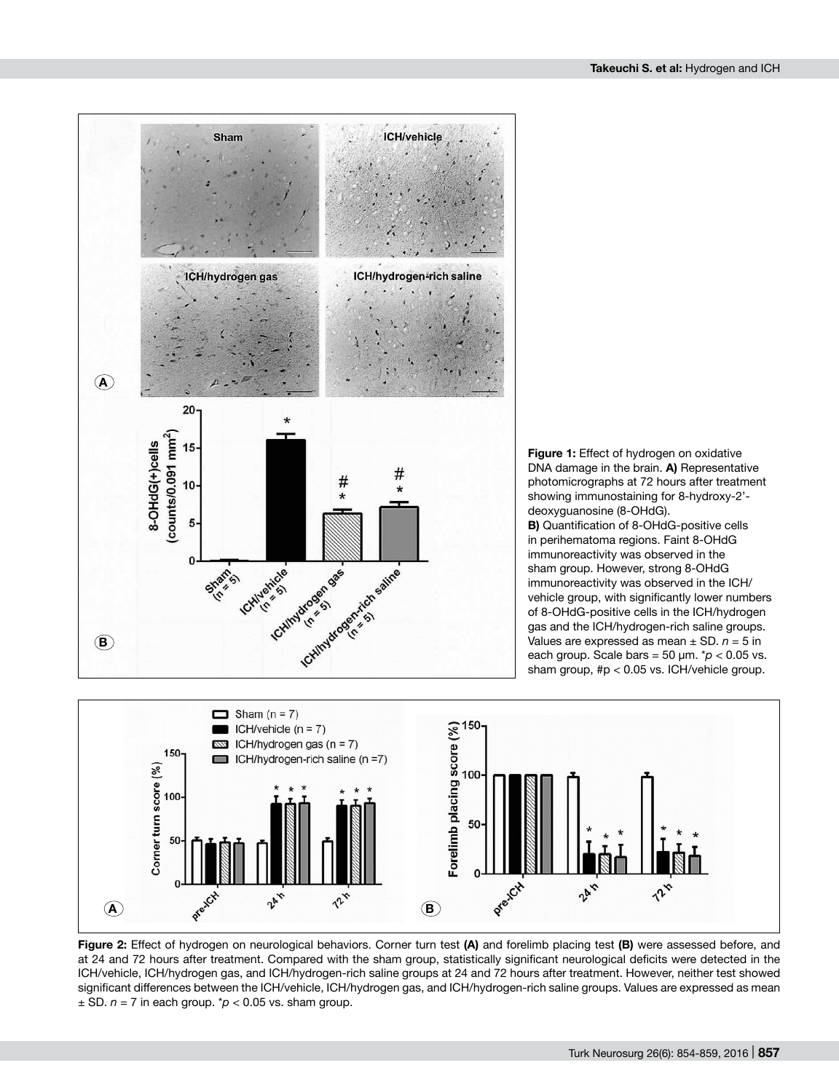

**Figure 1:** Effect of hydrogen on oxidative DNA damage in the brain. **A)** Representative photomicrographs at 72 hours after treatment showing immunostaining for 8-hydroxy-2' deoxyguanosine (8-OHdG).

**B)** Quantification of 8-OHdG-positive cells in perihematoma regions. Faint 8-OHdG immunoreactivity was observed in the sham group. However, strong 8-OHdG immunoreactivity was observed in the ICH/ vehicle group, with significantly lower numbers of 8-OHdG-positive cells in the ICH/hydrogen gas and the ICH/hydrogen-rich saline groups. Values are expressed as mean  $\pm$  SD.  $n = 5$  in each group. Scale bars = 50 μm. \**p* < 0.05 vs. sham group, #p < 0.05 vs. ICH/vehicle group.



**Figure 2:** Effect of hydrogen on neurological behaviors. Corner turn test **(A)** and forelimb placing test **(B)** were assessed before, and at 24 and 72 hours after treatment. Compared with the sham group, statistically significant neurological deficits were detected in the ICH/vehicle, ICH/hydrogen gas, and ICH/hydrogen-rich saline groups at 24 and 72 hours after treatment. However, neither test showed significant differences between the ICH/vehicle, ICH/hydrogen gas, and ICH/hydrogen-rich saline groups. Values are expressed as mean  $\pm$  SD.  $n = 7$  in each group.  $\gamma p < 0.05$  vs. sham group.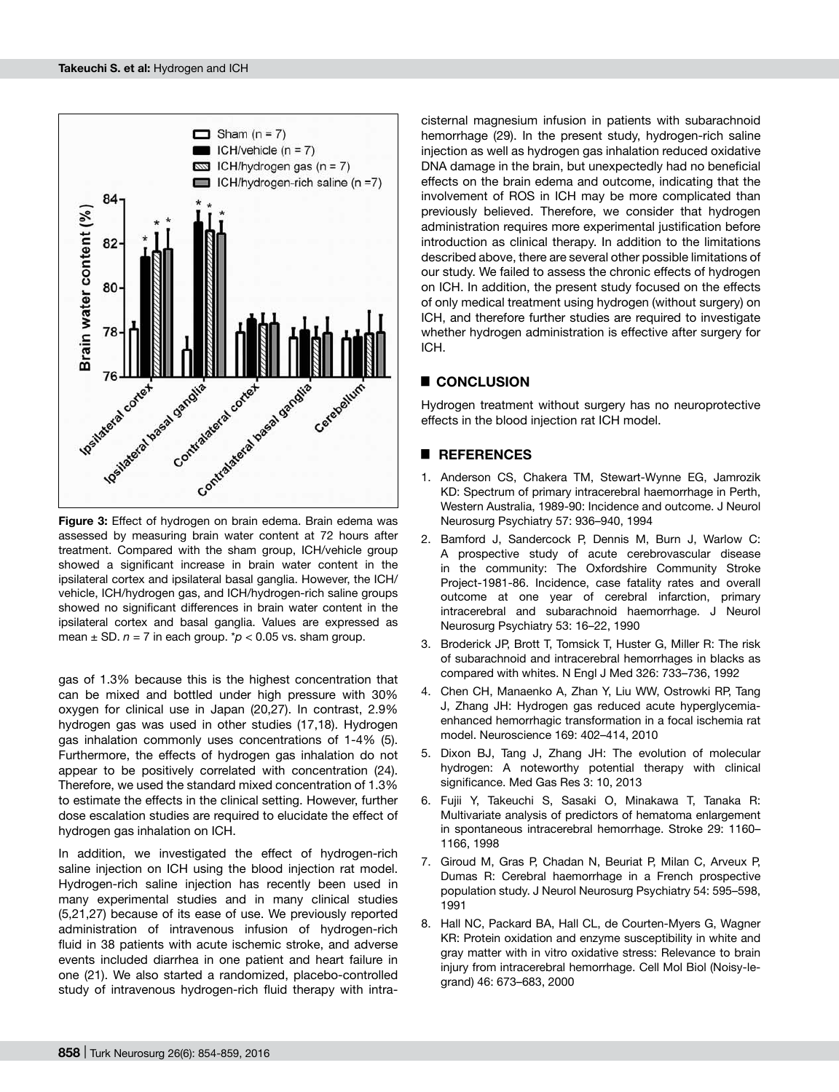

**Figure 3:** Effect of hydrogen on brain edema. Brain edema was assessed by measuring brain water content at 72 hours after treatment. Compared with the sham group, ICH/vehicle group showed a significant increase in brain water content in the ipsilateral cortex and ipsilateral basal ganglia. However, the ICH/ vehicle, ICH/hydrogen gas, and ICH/hydrogen-rich saline groups showed no significant differences in brain water content in the ipsilateral cortex and basal ganglia. Values are expressed as mean  $\pm$  SD.  $n = 7$  in each group.  $\gamma p < 0.05$  vs. sham group.

gas of 1.3% because this is the highest concentration that can be mixed and bottled under high pressure with 30% oxygen for clinical use in Japan (20,27). In contrast, 2.9% hydrogen gas was used in other studies (17,18). Hydrogen gas inhalation commonly uses concentrations of 1-4% (5). Furthermore, the effects of hydrogen gas inhalation do not appear to be positively correlated with concentration (24). Therefore, we used the standard mixed concentration of 1.3% to estimate the effects in the clinical setting. However, further dose escalation studies are required to elucidate the effect of hydrogen gas inhalation on ICH.

In addition, we investigated the effect of hydrogen-rich saline injection on ICH using the blood injection rat model. Hydrogen-rich saline injection has recently been used in many experimental studies and in many clinical studies (5,21,27) because of its ease of use. We previously reported administration of intravenous infusion of hydrogen-rich fluid in 38 patients with acute ischemic stroke, and adverse events included diarrhea in one patient and heart failure in one (21). We also started a randomized, placebo-controlled study of intravenous hydrogen-rich fluid therapy with intra-

cisternal magnesium infusion in patients with subarachnoid hemorrhage (29). In the present study, hydrogen-rich saline injection as well as hydrogen gas inhalation reduced oxidative DNA damage in the brain, but unexpectedly had no beneficial effects on the brain edema and outcome, indicating that the involvement of ROS in ICH may be more complicated than previously believed. Therefore, we consider that hydrogen administration requires more experimental justification before introduction as clinical therapy. In addition to the limitations described above, there are several other possible limitations of our study. We failed to assess the chronic effects of hydrogen on ICH. In addition, the present study focused on the effects of only medical treatment using hydrogen (without surgery) on ICH, and therefore further studies are required to investigate whether hydrogen administration is effective after surgery for ICH.

# █ **Conclusion**

Hydrogen treatment without surgery has no neuroprotective effects in the blood injection rat ICH model.

## █ **References**

- 1. Anderson CS, Chakera TM, Stewart-Wynne EG, Jamrozik KD: Spectrum of primary intracerebral haemorrhage in Perth, Western Australia, 1989-90: Incidence and outcome. J Neurol Neurosurg Psychiatry 57: 936–940, 1994
- 2. Bamford J, Sandercock P, Dennis M, Burn J, Warlow C: A prospective study of acute cerebrovascular disease in the community: The Oxfordshire Community Stroke Project-1981-86. Incidence, case fatality rates and overall outcome at one year of cerebral infarction, primary intracerebral and subarachnoid haemorrhage. J Neurol Neurosurg Psychiatry 53: 16–22, 1990
- 3. Broderick JP, Brott T, Tomsick T, Huster G, Miller R: The risk of subarachnoid and intracerebral hemorrhages in blacks as compared with whites. N Engl J Med 326: 733–736, 1992
- 4. Chen CH, Manaenko A, Zhan Y, Liu WW, Ostrowki RP, Tang J, Zhang JH: Hydrogen gas reduced acute hyperglycemiaenhanced hemorrhagic transformation in a focal ischemia rat model. Neuroscience 169: 402–414, 2010
- 5. Dixon BJ, Tang J, Zhang JH: The evolution of molecular hydrogen: A noteworthy potential therapy with clinical significance. Med Gas Res 3: 10, 2013
- 6. Fujii Y, Takeuchi S, Sasaki O, Minakawa T, Tanaka R: Multivariate analysis of predictors of hematoma enlargement in spontaneous intracerebral hemorrhage. Stroke 29: 1160– 1166, 1998
- 7. Giroud M, Gras P, Chadan N, Beuriat P, Milan C, Arveux P, Dumas R: Cerebral haemorrhage in a French prospective population study. J Neurol Neurosurg Psychiatry 54: 595–598, 1991
- 8. Hall NC, Packard BA, Hall CL, de Courten-Myers G, Wagner KR: Protein oxidation and enzyme susceptibility in white and gray matter with in vitro oxidative stress: Relevance to brain injury from intracerebral hemorrhage. Cell Mol Biol (Noisy-legrand) 46: 673–683, 2000